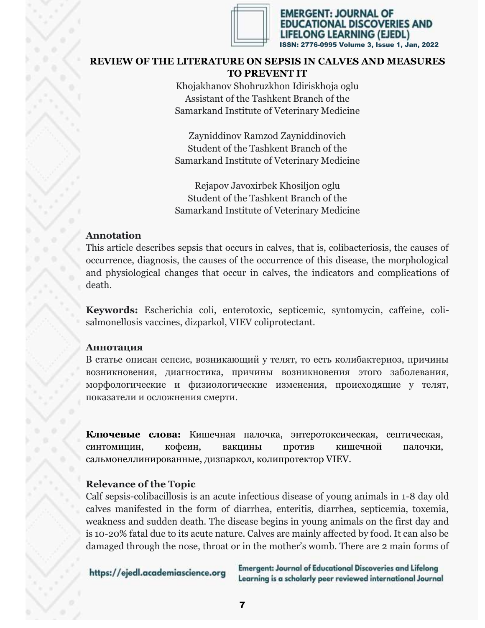

MERGENT: JOURNAL OF ONAL DISCOVERIES AND ONG LEARNING (EJEDL) 2776-0995 Volume 3, Issue 1, Jan, 2022

# **REVIEW OF THE LITERATURE ON SEPSIS IN CALVES AND MEASURES TO PREVENT IT**

Khojakhanov Shohruzkhon Idiriskhoja oglu Assistant of the Tashkent Branch of the Samarkand Institute of Veterinary Medicine

Zayniddinov Ramzod Zayniddinovich Student of the Tashkent Branch of the Samarkand Institute of Veterinary Medicine

Rejapov Javoxirbek Khosiljon oglu Student of the Tashkent Branch of the Samarkand Institute of Veterinary Medicine

# **Annotation**

This article describes sepsis that occurs in calves, that is, colibacteriosis, the causes of occurrence, diagnosis, the causes of the occurrence of this disease, the morphological and physiological changes that occur in calves, the indicators and complications of death.

**Keywords:** Escherichia coli, enterotoxic, septicemic, syntomycin, caffeine, colisalmonellosis vaccines, dizparkol, VIEV coliprotectant.

### **Аннотация**

В статье описан сепсис, возникающий у телят, то есть колибактериоз, причины возникновения, диагностика, причины возникновения этого заболевания, морфологические и физиологические изменения, происходящие у телят, показатели и осложнения смерти.

**Ключевые слова:** Кишечная палочка, энтеротоксическая, септическая, синтомицин, кофеин, вакцины против кишечной палочки, сальмонеллинированные, дизпаркол, колипротектор VIEV.

# **Relevance of the Topic**

Calf sepsis-colibacillosis is an acute infectious disease of young animals in 1-8 day old calves manifested in the form of diarrhea, enteritis, diarrhea, septicemia, toxemia, weakness and sudden death. The disease begins in young animals on the first day and is 10-20% fatal due to its acute nature. Calves are mainly affected by food. It can also be damaged through the nose, throat or in the mother's womb. There are 2 main forms of

https://ejedl.academiascience.org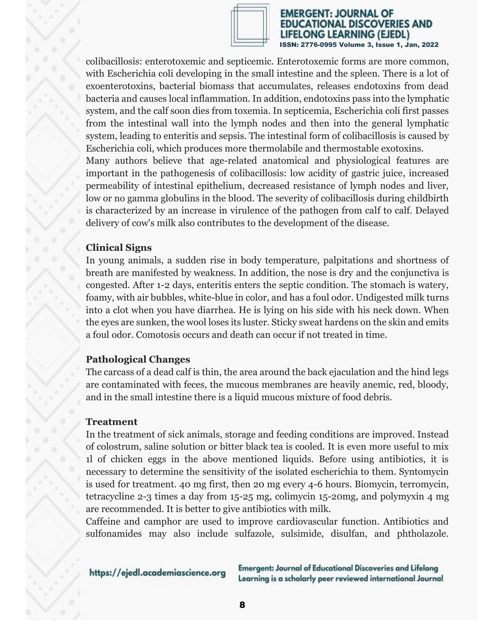

#### EMERGENT: JOURNAL OF TIONAL DISCOVERIES AND **LONG LEARNING (EJEDL)** ISSN: 2776-0995 Volume 3, Issue 1, Jan, 2022

colibacillosis: enterotoxemic and septicemic. Enterotoxemic forms are more common, with Escherichia coli developing in the small intestine and the spleen. There is a lot of exoenterotoxins, bacterial biomass that accumulates, releases endotoxins from dead bacteria and causes local inflammation. In addition, endotoxins pass into the lymphatic system, and the calf soon dies from toxemia. In septicemia, Escherichia coli first passes from the intestinal wall into the lymph nodes and then into the general lymphatic system, leading to enteritis and sepsis. The intestinal form of colibacillosis is caused by Escherichia coli, which produces more thermolabile and thermostable exotoxins. Many authors believe that age-related anatomical and physiological features are important in the pathogenesis of colibacillosis: low acidity of gastric juice, increased permeability of intestinal epithelium, decreased resistance of lymph nodes and liver,

low or no gamma globulins in the blood. The severity of colibacillosis during childbirth is characterized by an increase in virulence of the pathogen from calf to calf. Delayed delivery of cow's milk also contributes to the development of the disease.

# **Clinical Signs**

In young animals, a sudden rise in body temperature, palpitations and shortness of breath are manifested by weakness. In addition, the nose is dry and the conjunctiva is congested. After 1-2 days, enteritis enters the septic condition. The stomach is watery, foamy, with air bubbles, white-blue in color, and has a foul odor. Undigested milk turns into a clot when you have diarrhea. He is lying on his side with his neck down. When the eyes are sunken, the wool loses its luster. Sticky sweat hardens on the skin and emits a foul odor. Comotosis occurs and death can occur if not treated in time.

### **Pathological Changes**

The carcass of a dead calf is thin, the area around the back ejaculation and the hind legs are contaminated with feces, the mucous membranes are heavily anemic, red, bloody, and in the small intestine there is a liquid mucous mixture of food debris.

### **Treatment**

In the treatment of sick animals, storage and feeding conditions are improved. Instead of colostrum, saline solution or bitter black tea is cooled. It is even more useful to mix 1l of chicken eggs in the above mentioned liquids. Before using antibiotics, it is necessary to determine the sensitivity of the isolated escherichia to them. Syntomycin is used for treatment. 40 mg first, then 20 mg every 4-6 hours. Biomycin, terromycin, tetracycline 2-3 times a day from 15-25 mg, colimycin 15-20mg, and polymyxin 4 mg are recommended. It is better to give antibiotics with milk.

Caffeine and camphor are used to improve cardiovascular function. Antibiotics and sulfonamides may also include sulfazole, sulsimide, disulfan, and phtholazole.

https://ejedl.academiascience.org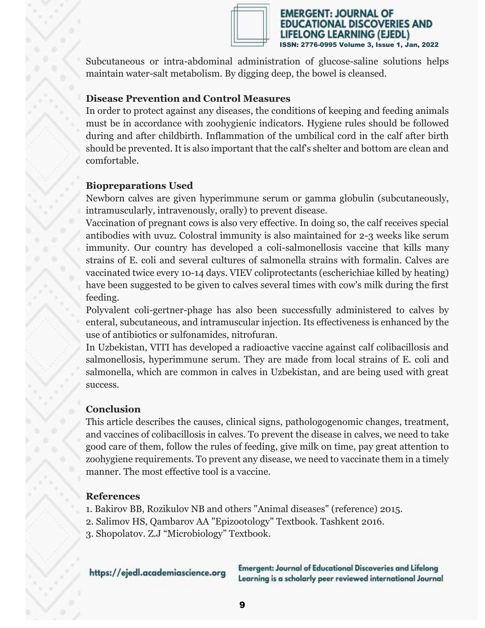

MERGENT: JOURNAL OF ONAL DISCOVERIES AND ONG LEARNING (EJEDL) ISSN: 2776-0995 Volume 3, Issue 1, Jan, 2022

Subcutaneous or intra-abdominal administration of glucose-saline solutions helps maintain water-salt metabolism. By digging deep, the bowel is cleansed.

### **Disease Prevention and Control Measures**

In order to protect against any diseases, the conditions of keeping and feeding animals must be in accordance with zoohygienic indicators. Hygiene rules should be followed during and after childbirth. Inflammation of the umbilical cord in the calf after birth should be prevented. It is also important that the calf's shelter and bottom are clean and comfortable.

### **Biopreparations Used**

Newborn calves are given hyperimmune serum or gamma globulin (subcutaneously, intramuscularly, intravenously, orally) to prevent disease.

Vaccination of pregnant cows is also very effective. In doing so, the calf receives special antibodies with uvuz. Colostral immunity is also maintained for 2-3 weeks like serum immunity. Our country has developed a coli-salmonellosis vaccine that kills many strains of E. coli and several cultures of salmonella strains with formalin. Calves are vaccinated twice every 10-14 days. VIEV coliprotectants (escherichiae killed by heating) have been suggested to be given to calves several times with cow's milk during the first feeding.

Polyvalent coli-gertner-phage has also been successfully administered to calves by enteral, subcutaneous, and intramuscular injection. Its effectiveness is enhanced by the use of antibiotics or sulfonamides, nitrofuran.

In Uzbekistan, VITI has developed a radioactive vaccine against calf colibacillosis and salmonellosis, hyperimmune serum. They are made from local strains of E. coli and salmonella, which are common in calves in Uzbekistan, and are being used with great success.

# **Conclusion**

This article describes the causes, clinical signs, pathologogenomic changes, treatment, and vaccines of colibacillosis in calves. To prevent the disease in calves, we need to take good care of them, follow the rules of feeding, give milk on time, pay great attention to zoohygiene requirements. To prevent any disease, we need to vaccinate them in a timely manner. The most effective tool is a vaccine.

### **References**

- 1. Bakirov BB, Rozikulov NB and others "Animal diseases" (reference) 2015.
- 2. Salimov HS, Qambarov AA "Epizootology" Textbook. Tashkent 2016.
- 3. Shopolatov. Z.J "Microbiology" Textbook.

https://ejedl.academiascience.org